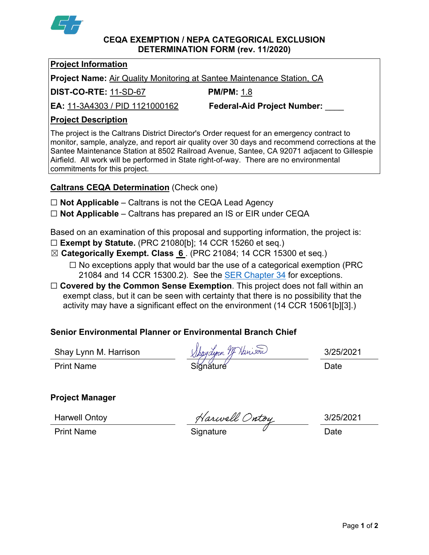

#### **CEQA EXEMPTION / NEPA CATEGORICAL EXCLUSION DETERMINATION FORM (rev. 11/2020)**

### **Project Information**

**Project Name:** Air Quality Monitoring at Santee Maintenance Station, CA

**DIST-CO-RTE:** 11-SD-67 **PM/PM:** 1.8

**EA:** 11-3A4303 / PID 1121000162 **Federal-Aid Project Number:** \_\_\_\_

# **Project Description**

The project is the Caltrans District Director's Order request for an emergency contract to monitor, sample, analyze, and report air quality over 30 days and recommend corrections at the Santee Maintenance Station at 8502 Railroad Avenue, Santee, CA 92071 adjacent to Gillespie Airfield. All work will be performed in State right-of-way. There are no environmental commitments for this project.

# **Caltrans CEQA Determination** (Check one)

- ☐ **Not Applicable** Caltrans is not the CEQA Lead Agency
- ☐ **Not Applicable** Caltrans has prepared an IS or EIR under CEQA

Based on an examination of this proposal and supporting information, the project is:

- ☐ **Exempt by Statute.** (PRC 21080[b]; 14 CCR 15260 et seq.)
- ☒ **Categorically Exempt. Class 6** . (PRC 21084; 14 CCR 15300 et seq.)
	- $\Box$  No exceptions apply that would bar the use of a categorical exemption (PRC 21084 and 14 CCR 15300.2). See the [SER Chapter 34](https://dot.ca.gov/programs/environmental-analysis/standard-environmental-reference-ser/volume-1-guidance-for-compliance/ch-34-exemptions-to-ceqa#except) for exceptions.
- □ **Covered by the Common Sense Exemption**. This project does not fall within an exempt class, but it can be seen with certainty that there is no possibility that the activity may have a significant effect on the environment (14 CCR 15061[b][3].)

# **Senior Environmental Planner or Environmental Branch Chief**

Shay Lynn M. Harrison  $\bigwedge_{\mathcal{M}}$  May $\bigwedge_{\mathcal{M}}$  Man $\bigwedge_{\mathcal{M}}$  Man $\bigwedge_{\mathcal{M}}$  3/25/2021

Print Name Siğnăture Date

# **Project Manager**

Harwell Ontoy 3/25/2021

Print Name Signature <sup> </sup> Date